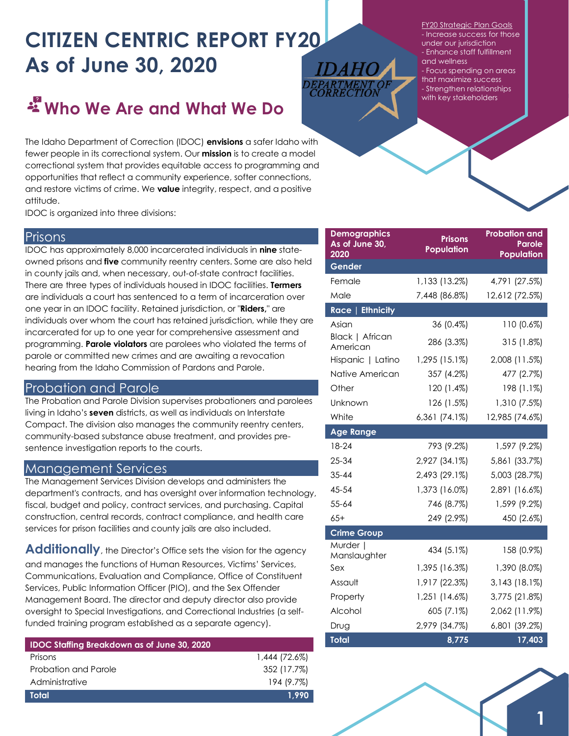## **Who We Are and What We Do**

The Idaho Department of Correction (IDOC) **envisions** a safer Idaho with fewer people in its correctional system. Our **mission** is to create a model correctional system that provides equitable access to programming and opportunities that reflect a community experience, softer connections, and restore victims of crime. We **value** integrity, respect, and a positive attitude.



IDOC is organized into three divisions:

#### **Prisons**

IDOC has approximately 8,000 incarcerated individuals in **nine** stateowned prisons and **five** community reentry centers. Some are also held in county jails and, when necessary, out-of-state contract facilities. There are three types of individuals housed in IDOC facilities. **Termers** are individuals a court has sentenced to a term of incarceration over one year in an IDOC facility. Retained jurisdiction, or "**Riders,**" are individuals over whom the court has retained jurisdiction, while they are incarcerated for up to one year for comprehensive assessment and programming. **Parole violators** are parolees who violated the terms of parole or committed new crimes and are awaiting a revocation hearing from the Idaho Commission of Pardons and Parole.

#### Probation and Parole

The Probation and Parole Division supervises probationers and parolees living in Idaho's **seven** districts, as well as individuals on Interstate Compact. The division also manages the community reentry centers, community-based substance abuse treatment, and provides presentence investigation reports to the courts.

#### Management Services

The Management Services Division develops and administers the department's contracts, and has oversight over information technology, fiscal, budget and policy, contract services, and purchasing. Capital construction, central records, contract compliance, and health care services for prison facilities and county jails are also included.

**Additionally**, the Director's Office sets the vision for the agency and manages the functions of Human Resources, Victims' Services, Communications, Evaluation and Compliance, Office of Constituent Services, Public Information Officer (PIO), and the Sex Offender Management Board. The director and deputy director also provide oversight to Special Investigations, and Correctional Industries (a selffunded training program established as a separate agency).

| <b>IDOC Staffing Breakdown as of June 30, 2020</b> |               |
|----------------------------------------------------|---------------|
| <b>Prisons</b>                                     | 1,444 (72.6%) |
| Probation and Parole                               | 352 (17.7%)   |
| Administrative                                     | 194 (9.7%)    |
| Total                                              | 1.990         |

| <b>Demographics</b><br>As of June 30,<br>2020 | <b>Prisons</b><br><b>Population</b> | <b>Probation and</b><br>Parole<br>Population |
|-----------------------------------------------|-------------------------------------|----------------------------------------------|
| Gender                                        |                                     |                                              |
| Female                                        | 1,133 (13.2%)                       | 4,791 (27.5%)                                |
| Male                                          | 7,448 (86.8%)                       | 12,612 (72.5%)                               |
| <b>Race   Ethnicity</b>                       |                                     |                                              |
| Asian                                         | 36 (0.4%)                           | 110 (0.6%)                                   |
| Black   African<br>American                   | 286 (3.3%)                          | 315 (1.8%)                                   |
| Hispanic   Latino                             | 1,295 (15.1%)                       | 2,008 (11.5%)                                |
| Native American                               | 357 (4.2%)                          | 477 (2.7%)                                   |
| Other                                         | 120 (1.4%)                          | 198 (1.1%)                                   |
| Unknown                                       | 126 (1.5%)                          | 1,310 (7.5%)                                 |
| White                                         | 6,361 (74.1%)                       | 12,985 (74.6%)                               |
| <b>Age Range</b>                              |                                     |                                              |
| 18-24                                         | 793 (9.2%)                          | 1,597 (9.2%)                                 |
| 25-34                                         | 2,927 (34.1%)                       | 5,861 (33.7%)                                |
| $35 - 44$                                     | 2,493 (29.1%)                       | 5,003 (28.7%)                                |
| 45-54                                         | 1,373 (16.0%)                       | 2,891 (16.6%)                                |
| $55 - 64$                                     | 746 (8.7%)                          | 1,599 (9.2%)                                 |
| $65+$                                         | 249 (2.9%)                          | 450 (2.6%)                                   |
| <b>Crime Group</b>                            |                                     |                                              |
| Murder  <br>Manslaughter                      | 434 (5.1%)                          | 158 (0.9%)                                   |
| Sex                                           | 1,395 (16.3%)                       | 1,390 (8.0%)                                 |
| Assault                                       | 1,917 (22.3%)                       | 3,143(18.1%)                                 |
| Property                                      | 1,251 (14.6%)                       | 3,775 (21.8%)                                |
| Alcohol                                       | 605 (7.1%)                          | 2,062 (11.9%)                                |
| Drug                                          | 2,979 (34.7%)                       | 6,801 (39.2%)                                |
| <b>Total</b>                                  | 8,775                               | 17,403                                       |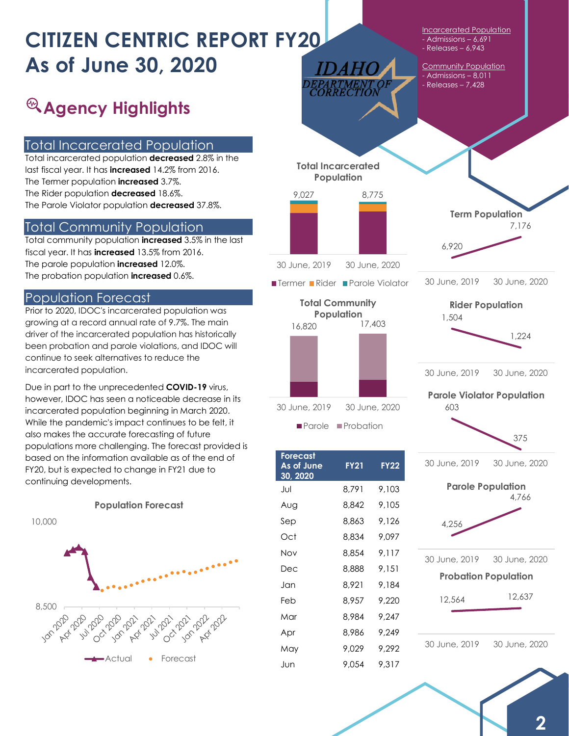## **Agency Highlights**

### Total Incarcerated Population

Total incarcerated population **decreased** 2.8% in the last fiscal year. It has **increased** 14.2% from 2016. The Termer population **increased** 3.7%. The Rider population **decreased** 18.6%. The Parole Violator population **decreased** 37.8%.

### Total Community Population

Total community population **increased** 3.5% in the last fiscal year. It has **increased** 13.5% from 2016. The parole population **increased** 12.0%. The probation population **increased** 0.6%.

### Population Forecast

Prior to 2020, IDOC's incarcerated population was growing at a record annual rate of 9.7%. The main driver of the incarcerated population has historically been probation and parole violations, and IDOC will continue to seek alternatives to reduce the incarcerated population.

Due in part to the unprecedented **COVID-19** virus, however, IDOC has seen a noticeable decrease in its incarcerated population beginning in March 2020. While the pandemic's impact continues to be felt, it also makes the accurate forecasting of future populations more challenging. The forecast provided is based on the information available as of the end of FY20, but is expected to change in FY21 due to continuing developments.





Incarcerated Population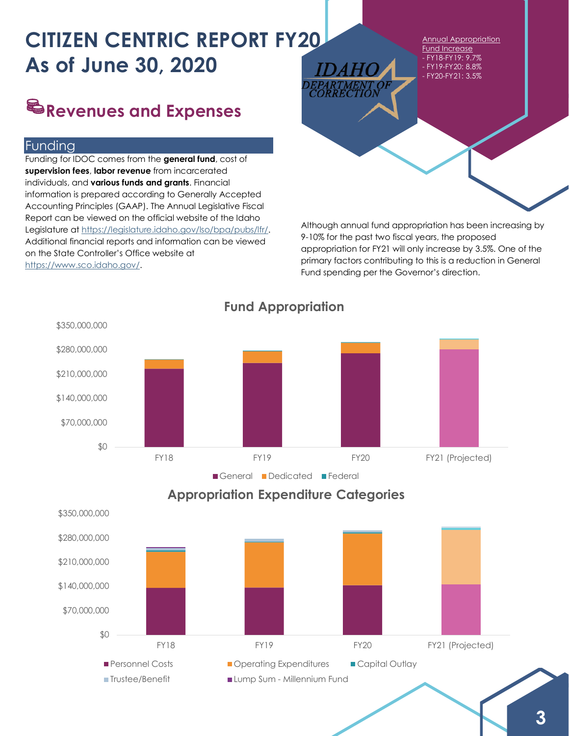# **Revenues and Expenses**

### Funding

Funding for IDOC comes from the **general fund**, cost of **supervision fees**, **labor revenue** from incarcerated individuals, and **various funds and grants**. Financial information is prepared according to Generally Accepted Accounting Principles (GAAP). The Annual Legislative Fiscal Report can be viewed on the official website of the Idaho Legislature a[t https://legislature.idaho.gov/lso/bpa/pubs/lfr/.](https://legislature.idaho.gov/lso/bpa/pubs/lfr/) Additional financial reports and information can be viewed on the State Controller's Office website at [https://www.sco.idaho.gov/.](https://www.sco.idaho.gov/)

Annual Appropriation Fund Increase - FY18-FY19: 9.7% - FY19-FY20: 8.8% FY20-FY21: 3.5%

Although annual fund appropriation has been increasing by 9-10% for the past two fiscal years, the proposed appropriation for FY21 will only increase by 3.5%. One of the primary factors contributing to this is a reduction in General Fund spending per the Governor's direction.



**Fund Appropriation**